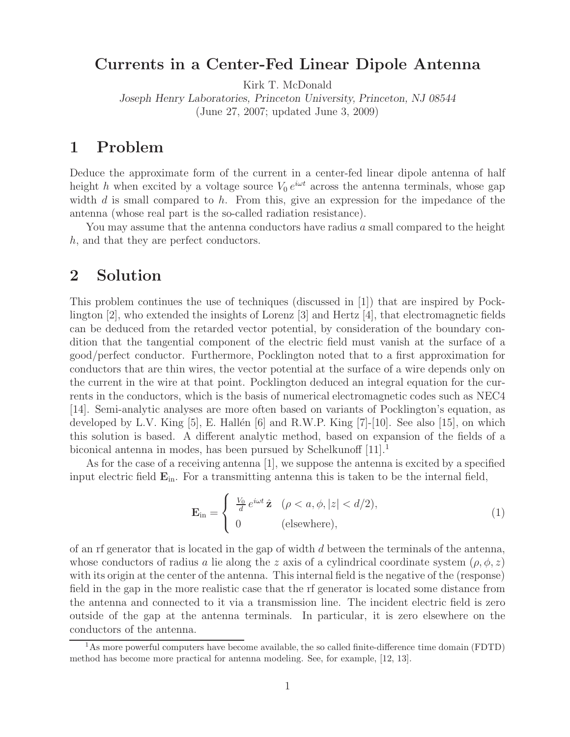## **Currents in a Center-Fed Linear Dipole Antenna**

Kirk T. McDonald

*Joseph Henry Laboratories, Princeton University, Princeton, NJ 08544* (June 27, 2007; updated June 3, 2009)

## **1 Problem**

Deduce the approximate form of the current in a center-fed linear dipole antenna of half height h when excited by a voltage source  $V_0 e^{i\omega t}$  across the antenna terminals, whose gap width  $d$  is small compared to  $h$ . From this, give an expression for the impedance of the antenna (whose real part is the so-called radiation resistance).

You may assume that the antenna conductors have radius a small compared to the height h, and that they are perfect conductors.

## **2 Solution**

This problem continues the use of techniques (discussed in [1]) that are inspired by Pocklington [2], who extended the insights of Lorenz [3] and Hertz [4], that electromagnetic fields can be deduced from the retarded vector potential, by consideration of the boundary condition that the tangential component of the electric field must vanish at the surface of a good/perfect conductor. Furthermore, Pocklington noted that to a first approximation for conductors that are thin wires, the vector potential at the surface of a wire depends only on the current in the wire at that point. Pocklington deduced an integral equation for the currents in the conductors, which is the basis of numerical electromagnetic codes such as NEC4 [14]. Semi-analytic analyses are more often based on variants of Pocklington's equation, as developed by L.V. King  $[5]$ , E. Hallén  $[6]$  and R.W.P. King  $[7]$ - $[10]$ . See also  $[15]$ , on which this solution is based. A different analytic method, based on expansion of the fields of a biconical antenna in modes, has been pursued by Schelkunoff  $[11]$ <sup>1</sup>

As for the case of a receiving antenna [1], we suppose the antenna is excited by a specified input electric field **E**in. For a transmitting antenna this is taken to be the internal field,

$$
\mathbf{E}_{\rm in} = \begin{cases} \frac{V_0}{d} e^{i\omega t} \hat{\mathbf{z}} & (\rho < a, \phi, |z| < d/2), \\ 0 & (\text{elsewhere}), \end{cases}
$$
(1)

of an rf generator that is located in the gap of width d between the terminals of the antenna, whose conductors of radius a lie along the z axis of a cylindrical coordinate system  $(\rho, \phi, z)$ with its origin at the center of the antenna. This internal field is the negative of the (response) field in the gap in the more realistic case that the rf generator is located some distance from the antenna and connected to it via a transmission line. The incident electric field is zero outside of the gap at the antenna terminals. In particular, it is zero elsewhere on the conductors of the antenna.

 $1<sup>1</sup>$ As more powerful computers have become available, the so called finite-difference time domain (FDTD) method has become more practical for antenna modeling. See, for example, [12, 13].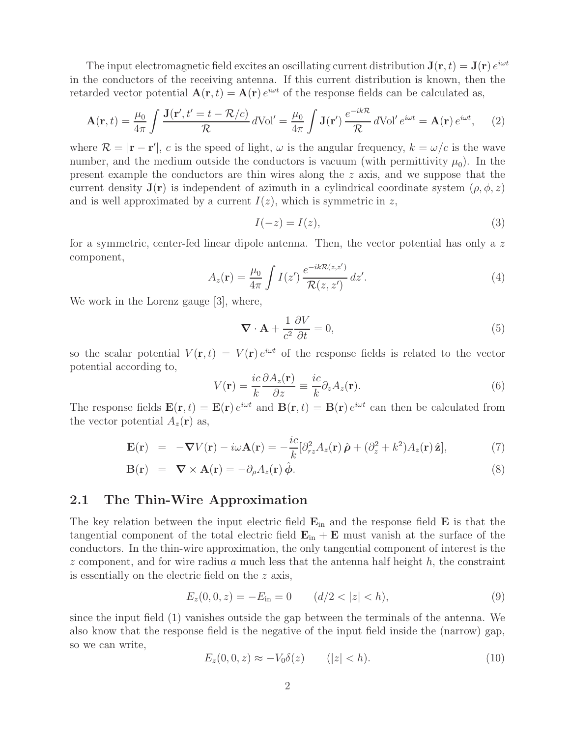The input electromagnetic field excites an oscillating current distribution  $\mathbf{J}(\mathbf{r},t) = \mathbf{J}(\mathbf{r}) e^{i\omega t}$ in the conductors of the receiving antenna. If this current distribution is known, then the retarded vector potential  $\mathbf{A}(\mathbf{r},t) = \mathbf{A}(\mathbf{r}) e^{i\omega t}$  of the response fields can be calculated as,

$$
\mathbf{A}(\mathbf{r},t) = \frac{\mu_0}{4\pi} \int \frac{\mathbf{J}(\mathbf{r}',t'=t-\mathcal{R}/c)}{\mathcal{R}} d\text{Vol}' = \frac{\mu_0}{4\pi} \int \mathbf{J}(\mathbf{r}') \frac{e^{-ik\mathcal{R}}}{\mathcal{R}} d\text{Vol}' e^{i\omega t} = \mathbf{A}(\mathbf{r}) e^{i\omega t}, \quad (2)
$$

where  $\mathcal{R} = |\mathbf{r} - \mathbf{r}'|$ , c is the speed of light,  $\omega$  is the angular frequency,  $k = \omega/c$  is the wave number, and the medium outside the conductors is vacuum (with permittivity  $\mu_0$ ). In the present example the conductors are thin wires along the z axis, and we suppose that the current density  $J(r)$  is independent of azimuth in a cylindrical coordinate system  $(\rho, \phi, z)$ and is well approximated by a current  $I(z)$ , which is symmetric in z,

$$
I(-z) = I(z),\tag{3}
$$

for a symmetric, center-fed linear dipole antenna. Then, the vector potential has only a z component,

$$
A_z(\mathbf{r}) = \frac{\mu_0}{4\pi} \int I(z') \, \frac{e^{-ik\mathcal{R}(z,z')}}{\mathcal{R}(z,z')} \, dz'.\tag{4}
$$

We work in the Lorenz gauge [3], where,

$$
\nabla \cdot \mathbf{A} + \frac{1}{c^2} \frac{\partial V}{\partial t} = 0,\tag{5}
$$

so the scalar potential  $V(\mathbf{r},t) = V(\mathbf{r})e^{i\omega t}$  of the response fields is related to the vector potential according to,

$$
V(\mathbf{r}) = \frac{ic}{k} \frac{\partial A_z(\mathbf{r})}{\partial z} \equiv \frac{ic}{k} \partial_z A_z(\mathbf{r}).
$$
\n(6)

The response fields  $\mathbf{E}(\mathbf{r},t) = \mathbf{E}(\mathbf{r}) e^{i\omega t}$  and  $\mathbf{B}(\mathbf{r},t) = \mathbf{B}(\mathbf{r}) e^{i\omega t}$  can then be calculated from the vector potential  $A_z(\mathbf{r})$  as,

$$
\mathbf{E}(\mathbf{r}) = -\boldsymbol{\nabla}V(\mathbf{r}) - i\omega \mathbf{A}(\mathbf{r}) = -\frac{ic}{k} [\partial_{rz}^2 A_z(\mathbf{r}) \hat{\boldsymbol{\rho}} + (\partial_z^2 + k^2) A_z(\mathbf{r}) \hat{\mathbf{z}}], \tag{7}
$$

$$
\mathbf{B}(\mathbf{r}) = \nabla \times \mathbf{A}(\mathbf{r}) = -\partial_{\rho} A_{z}(\mathbf{r}) \hat{\boldsymbol{\phi}}.
$$
\n(8)

#### **2.1 The Thin-Wire Approximation**

The key relation between the input electric field  $\mathbf{E}_{in}$  and the response field  $\mathbf{E}$  is that the tangential component of the total electric field  $\mathbf{E}_{in} + \mathbf{E}$  must vanish at the surface of the conductors. In the thin-wire approximation, the only tangential component of interest is the  $z$  component, and for wire radius a much less that the antenna half height  $h$ , the constraint is essentially on the electric field on the z axis,

$$
E_z(0,0,z) = -E_{\text{in}} = 0 \qquad (d/2 < |z| < h), \tag{9}
$$

since the input field (1) vanishes outside the gap between the terminals of the antenna. We also know that the response field is the negative of the input field inside the (narrow) gap, so we can write,

$$
E_z(0,0,z) \approx -V_0 \delta(z) \qquad (|z| < h). \tag{10}
$$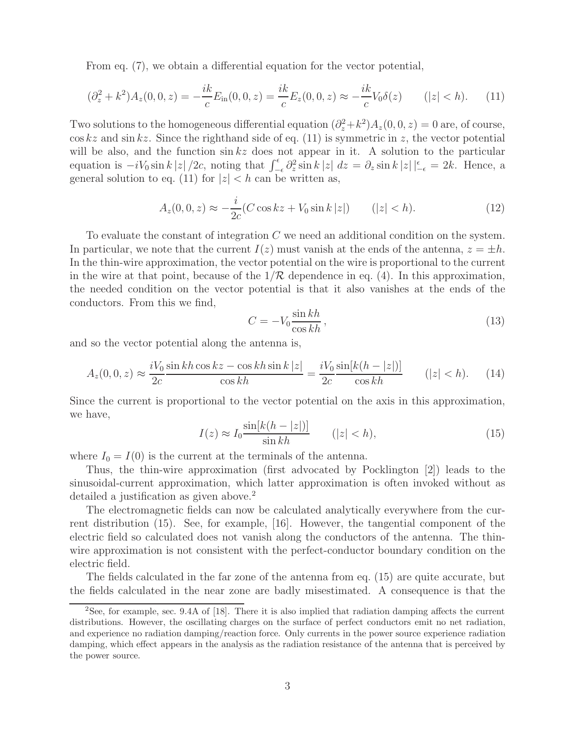From eq. (7), we obtain a differential equation for the vector potential,

$$
(\partial_z^2 + k^2)A_z(0,0,z) = -\frac{ik}{c}E_{\text{in}}(0,0,z) = \frac{ik}{c}E_z(0,0,z) \approx -\frac{ik}{c}V_0\delta(z) \qquad (|z| < h). \tag{11}
$$

Two solutions to the homogeneous differential equation  $(\partial_z^2 + k^2)A_z(0,0,z) = 0$  are, of course,  $\cos kz$  and  $\sin kz$ . Since the righthand side of eq. (11) is symmetric in z, the vector potential will be also, and the function  $\sin kz$  does not appear in it. A solution to the particular equation is  $-iV_0 \sin k |z|/2c$ , noting that  $\int_{-\epsilon}^{\epsilon} \partial_z^2 \sin k |z| dz = \partial_z \sin k |z| |\epsilon_{-\epsilon}| = 2k$ . Hence, a general solution to eq. (11) for  $|z| < h$  can be written as,

$$
A_z(0,0,z) \approx -\frac{i}{2c}(C\cos kz + V_0\sin k|z|) \qquad (|z| < h). \tag{12}
$$

To evaluate the constant of integration C we need an additional condition on the system. In particular, we note that the current  $I(z)$  must vanish at the ends of the antenna,  $z = \pm h$ . In the thin-wire approximation, the vector potential on the wire is proportional to the current in the wire at that point, because of the  $1/R$  dependence in eq. (4). In this approximation, the needed condition on the vector potential is that it also vanishes at the ends of the conductors. From this we find,

$$
C = -V_0 \frac{\sin kh}{\cos kh},\tag{13}
$$

and so the vector potential along the antenna is,

$$
A_z(0,0,z) \approx \frac{iV_0 \sin kh \cos kz - \cos kh \sin k|z|}{2c} = \frac{iV_0 \sin[k(h-|z|)]}{2c} \qquad (|z| < h). \tag{14}
$$

Since the current is proportional to the vector potential on the axis in this approximation, we have,

$$
I(z) \approx I_0 \frac{\sin[k(h - |z|)]}{\sin kh} \qquad (|z| < h), \tag{15}
$$

where  $I_0 = I(0)$  is the current at the terminals of the antenna.

Thus, the thin-wire approximation (first advocated by Pocklington [2]) leads to the sinusoidal-current approximation, which latter approximation is often invoked without as detailed a justification as given above.<sup>2</sup>

The electromagnetic fields can now be calculated analytically everywhere from the current distribution (15). See, for example, [16]. However, the tangential component of the electric field so calculated does not vanish along the conductors of the antenna. The thinwire approximation is not consistent with the perfect-conductor boundary condition on the electric field.

The fields calculated in the far zone of the antenna from eq. (15) are quite accurate, but the fields calculated in the near zone are badly misestimated. A consequence is that the

<sup>2</sup>See, for example, sec. 9.4A of [18]. There it is also implied that radiation damping affects the current distributions. However, the oscillating charges on the surface of perfect conductors emit no net radiation, and experience no radiation damping/reaction force. Only currents in the power source experience radiation damping, which effect appears in the analysis as the radiation resistance of the antenna that is perceived by the power source.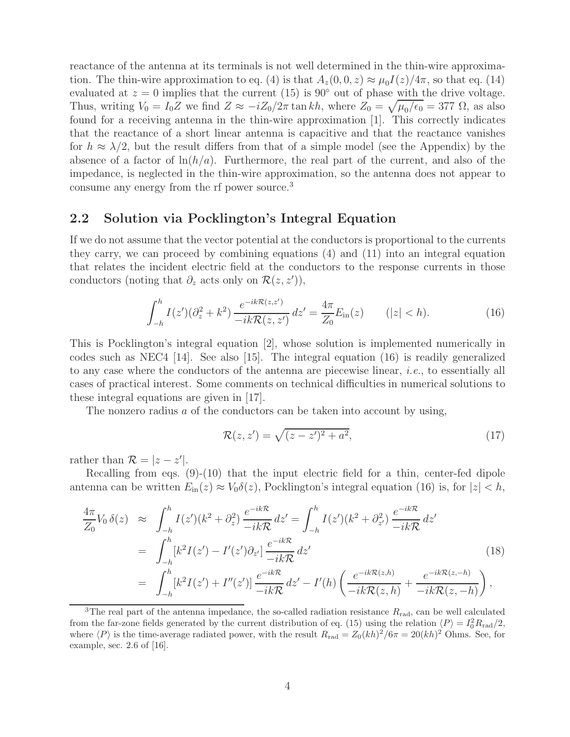reactance of the antenna at its terminals is not well determined in the thin-wire approximation. The thin-wire approximation to eq. (4) is that  $A_z(0, 0, z) \approx \mu_0 I(z)/4\pi$ , so that eq. (14) evaluated at  $z = 0$  implies that the current (15) is 90 $\degree$  out of phase with the drive voltage. Thus, writing  $V_0 = I_0 Z$  we find  $Z \approx -iZ_0/2\pi \tan kh$ , where  $Z_0 = \sqrt{\mu_0/\epsilon_0} = 377 \Omega$ , as also found for a receiving antenna in the thin-wire approximation [1]. This correctly indicates that the reactance of a short linear antenna is capacitive and that the reactance vanishes for  $h \approx \lambda/2$ , but the result differs from that of a simple model (see the Appendix) by the absence of a factor of  $\ln(h/a)$ . Furthermore, the real part of the current, and also of the impedance, is neglected in the thin-wire approximation, so the antenna does not appear to consume any energy from the rf power source.<sup>3</sup>

#### **2.2 Solution via Pocklington's Integral Equation**

If we do not assume that the vector potential at the conductors is proportional to the currents they carry, we can proceed by combining equations (4) and (11) into an integral equation that relates the incident electric field at the conductors to the response currents in those conductors (noting that  $\partial_z$  acts only on  $\mathcal{R}(z, z')$ ),

$$
\int_{-h}^{h} I(z') (\partial_z^2 + k^2) \frac{e^{-ik\mathcal{R}(z, z')}}{-ik\mathcal{R}(z, z')} dz' = \frac{4\pi}{Z_0} E_{\text{in}}(z) \qquad (|z| < h). \tag{16}
$$

This is Pocklington's integral equation [2], whose solution is implemented numerically in codes such as NEC4 [14]. See also [15]. The integral equation (16) is readily generalized to any case where the conductors of the antenna are piecewise linear, *i.e.*, to essentially all cases of practical interest. Some comments on technical difficulties in numerical solutions to these integral equations are given in [17].

The nonzero radius  $a$  of the conductors can be taken into account by using,

$$
\mathcal{R}(z, z') = \sqrt{(z - z')^2 + a^2},\tag{17}
$$

rather than  $\mathcal{R} = |z - z'|$ .

Recalling from eqs. (9)-(10) that the input electric field for a thin, center-fed dipole antenna can be written  $E_{\text{in}}(z) \approx V_0 \delta(z)$ , Pocklington's integral equation (16) is, for  $|z| < h$ ,

$$
\frac{4\pi}{Z_0}V_0 \,\delta(z) \approx \int_{-h}^{h} I(z')(k^2 + \partial_z^2) \frac{e^{-ik\mathcal{R}}}{-ik\mathcal{R}} dz' = \int_{-h}^{h} I(z')(k^2 + \partial_{z'}^2) \frac{e^{-ik\mathcal{R}}}{-ik\mathcal{R}} dz' \n= \int_{-h}^{h} [k^2 I(z') - I'(z')\partial_{z'}] \frac{e^{-ik\mathcal{R}}}{-ik\mathcal{R}} dz' \qquad (18) \n= \int_{-h}^{h} [k^2 I(z') + I''(z')] \frac{e^{-ik\mathcal{R}}}{-ik\mathcal{R}} dz' - I'(h) \left( \frac{e^{-ik\mathcal{R}(z,h)}}{-ik\mathcal{R}(z,h)} + \frac{e^{-ik\mathcal{R}(z,-h)}}{-ik\mathcal{R}(z,-h)} \right),
$$

<sup>&</sup>lt;sup>3</sup>The real part of the antenna impedance, the so-called radiation resistance  $R_{\text{rad}}$ , can be well calculated from the far-zone fields generated by the current distribution of eq. (15) using the relation  $\langle P \rangle = I_0^2 R_{\text{rad}}/2$ , where  $\langle P \rangle$  is the time-average radiated power, with the result  $R_{\text{rad}} = Z_0(kh)^2/6\pi = 20(kh)^2$  Ohms. See, for example, sec. 2.6 of  $[16]$ .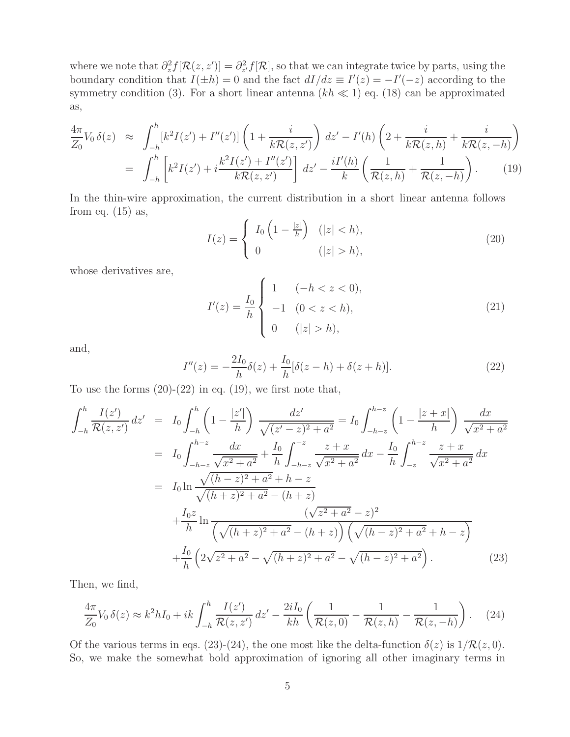where we note that  $\partial_z^2 f[\mathcal{R}(z, z')] = \partial_{z'}^2 f[\mathcal{R}],$  so that we can integrate twice by parts, using the boundary condition that  $I(\pm h) = 0$  and the fact  $dI/dz \equiv I'(z) = -I'(-z)$  according to the symmetry condition (3). For a short linear antenna  $(kh \ll 1)$  eq. (18) can be approximated as,

$$
\frac{4\pi}{Z_0}V_0 \,\delta(z) \approx \int_{-h}^h [k^2 I(z') + I''(z')] \left(1 + \frac{i}{k\mathcal{R}(z, z')}\right) dz' - I'(h) \left(2 + \frac{i}{k\mathcal{R}(z, h)} + \frac{i}{k\mathcal{R}(z, -h)}\right) \n= \int_{-h}^h \left[k^2 I(z') + i\frac{k^2 I(z') + I''(z')}{k\mathcal{R}(z, z')} \right] dz' - \frac{iI'(h)}{k} \left(\frac{1}{\mathcal{R}(z, h)} + \frac{1}{\mathcal{R}(z, -h)}\right).
$$
\n(19)

In the thin-wire approximation, the current distribution in a short linear antenna follows from eq.  $(15)$  as,

$$
I(z) = \begin{cases} I_0 \left( 1 - \frac{|z|}{h} \right) & (|z| < h), \\ 0 & (|z| > h), \end{cases} \tag{20}
$$

whose derivatives are,

$$
I'(z) = \frac{I_0}{h} \begin{cases} 1 & (-h < z < 0), \\ -1 & (0 < z < h), \\ 0 & (|z| > h), \end{cases} \tag{21}
$$

and,

$$
I''(z) = -\frac{2I_0}{h}\delta(z) + \frac{I_0}{h}[\delta(z - h) + \delta(z + h)].
$$
\n(22)

To use the forms  $(20)-(22)$  in eq.  $(19)$ , we first note that,

$$
\int_{-h}^{h} \frac{I(z')}{\mathcal{R}(z, z')} dz' = I_0 \int_{-h}^{h} \left(1 - \frac{|z'|}{h}\right) \frac{dz'}{\sqrt{(z'-z)^2 + a^2}} = I_0 \int_{-h-z}^{h-z} \left(1 - \frac{|z+x|}{h}\right) \frac{dx}{\sqrt{x^2 + a^2}}
$$
  
\n
$$
= I_0 \int_{-h-z}^{h-z} \frac{dx}{\sqrt{x^2 + a^2}} + \frac{I_0}{h} \int_{-h-z}^{-z} \frac{z+x}{\sqrt{x^2 + a^2}} dx - \frac{I_0}{h} \int_{-z}^{h-z} \frac{z+x}{\sqrt{x^2 + a^2}} dx
$$
  
\n
$$
= I_0 \ln \frac{\sqrt{(h-z)^2 + a^2} + h - z}{\sqrt{(h+z)^2 + a^2} - (h+z)}
$$
  
\n
$$
+ \frac{I_0 z}{h} \ln \frac{(\sqrt{z^2 + a^2} - z)^2}{(\sqrt{(h+z)^2 + a^2} - (h+z)) \left(\sqrt{(h-z)^2 + a^2} + h - z\right)}
$$
  
\n
$$
+ \frac{I_0}{h} \left(2\sqrt{z^2 + a^2} - \sqrt{(h+z)^2 + a^2} - \sqrt{(h-z)^2 + a^2}\right).
$$
 (23)

Then, we find,

$$
\frac{4\pi}{Z_0}V_0 \,\delta(z) \approx k^2 h I_0 + ik \int_{-h}^h \frac{I(z')}{\mathcal{R}(z, z')} \, dz' - \frac{2iI_0}{kh} \left(\frac{1}{\mathcal{R}(z, 0)} - \frac{1}{\mathcal{R}(z, h)} - \frac{1}{\mathcal{R}(z, -h)}\right). \tag{24}
$$

Of the various terms in eqs. (23)-(24), the one most like the delta-function  $\delta(z)$  is  $1/\mathcal{R}(z, 0)$ . So, we make the somewhat bold approximation of ignoring all other imaginary terms in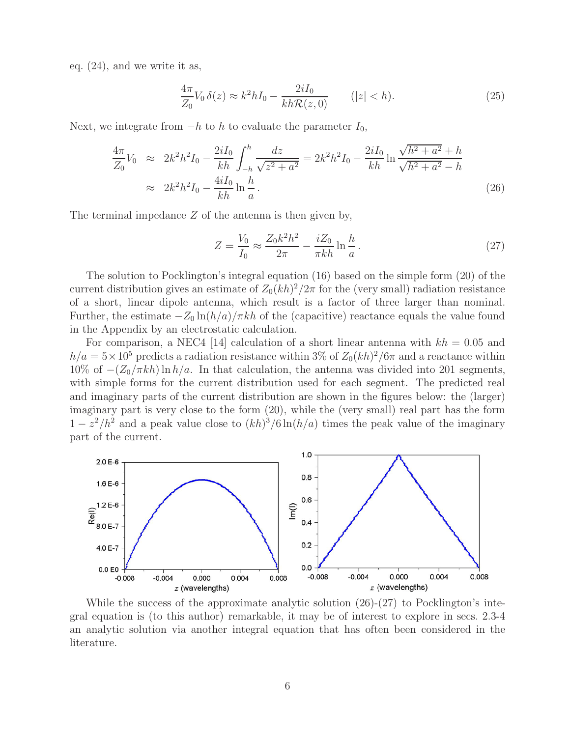eq. (24), and we write it as,

$$
\frac{4\pi}{Z_0}V_0\,\delta(z) \approx k^2hI_0 - \frac{2iI_0}{kh\mathcal{R}(z,0)} \qquad (|z| < h). \tag{25}
$$

Next, we integrate from  $-h$  to h to evaluate the parameter  $I_0$ ,

$$
\frac{4\pi}{Z_0}V_0 \approx 2k^2h^2I_0 - \frac{2iI_0}{kh} \int_{-h}^h \frac{dz}{\sqrt{z^2 + a^2}} = 2k^2h^2I_0 - \frac{2iI_0}{kh} \ln \frac{\sqrt{h^2 + a^2} + h}{\sqrt{h^2 + a^2} - h}
$$
  

$$
\approx 2k^2h^2I_0 - \frac{4iI_0}{kh} \ln \frac{h}{a}.
$$
 (26)

The terminal impedance Z of the antenna is then given by,

$$
Z = \frac{V_0}{I_0} \approx \frac{Z_0 k^2 h^2}{2\pi} - \frac{iZ_0}{\pi k h} \ln\frac{h}{a}.
$$
\n
$$
(27)
$$

The solution to Pocklington's integral equation (16) based on the simple form (20) of the current distribution gives an estimate of  $Z_0(kh)^2/2\pi$  for the (very small) radiation resistance of a short, linear dipole antenna, which result is a factor of three larger than nominal. Further, the estimate  $-Z_0 \ln(h/a)/\pi k h$  of the (capacitive) reactance equals the value found in the Appendix by an electrostatic calculation.

For comparison, a NEC4 [14] calculation of a short linear antenna with  $kh = 0.05$  and  $h/a = 5 \times 10^5$  predicts a radiation resistance within 3% of  $Z_0(kh)^2/6\pi$  and a reactance within  $10\%$  of  $-(Z_0/\pi k h) \ln h/a$ . In that calculation, the antenna was divided into 201 segments, with simple forms for the current distribution used for each segment. The predicted real and imaginary parts of the current distribution are shown in the figures below: the (larger) imaginary part is very close to the form (20), while the (very small) real part has the form  $1 - z^2/h^2$  and a peak value close to  $(kh)^3/6 \ln(h/a)$  times the peak value of the imaginary part of the current.



While the success of the approximate analytic solution  $(26)-(27)$  to Pocklington's integral equation is (to this author) remarkable, it may be of interest to explore in secs. 2.3-4 an analytic solution via another integral equation that has often been considered in the literature.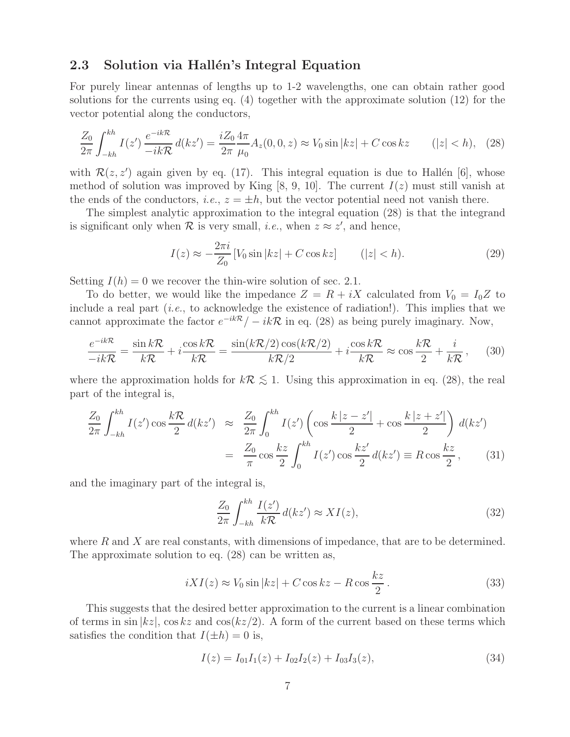#### **2.3 Solution via Hallén's Integral Equation**

For purely linear antennas of lengths up to 1-2 wavelengths, one can obtain rather good solutions for the currents using eq. (4) together with the approximate solution (12) for the vector potential along the conductors,

$$
\frac{Z_0}{2\pi} \int_{-kh}^{kh} I(z') \, \frac{e^{-ik\mathcal{R}}}{-ik\mathcal{R}} \, d(kz') = \frac{iZ_0}{2\pi} \frac{4\pi}{\mu_0} A_z(0,0,z) \approx V_0 \sin |kz| + C \cos kz \qquad (|z| < h), \tag{28}
$$

with  $\mathcal{R}(z, z')$  again given by eq. (17). This integral equation is due to Hallén [6], whose method of solution was improved by King  $[8, 9, 10]$ . The current  $I(z)$  must still vanish at the ends of the conductors, *i.e.*,  $z = \pm h$ , but the vector potential need not vanish there.

The simplest analytic approximation to the integral equation (28) is that the integrand is significant only when  $R$  is very small, *i.e.*, when  $z \approx z'$ , and hence,

$$
I(z) \approx -\frac{2\pi i}{Z_0} \left[ V_0 \sin |kz| + C \cos kz \right] \qquad (|z| < h). \tag{29}
$$

Setting  $I(h) = 0$  we recover the thin-wire solution of sec. 2.1.

To do better, we would like the impedance  $Z = R + iX$  calculated from  $V_0 = I_0Z$  to include a real part (*i.e.*, to acknowledge the existence of radiation!). This implies that we cannot approximate the factor  $e^{-ik\mathcal{R}}/ - ik\mathcal{R}$  in eq. (28) as being purely imaginary. Now,

$$
\frac{e^{-ik\mathcal{R}}}{-ik\mathcal{R}} = \frac{\sin k\mathcal{R}}{k\mathcal{R}} + i\frac{\cos k\mathcal{R}}{k\mathcal{R}} = \frac{\sin(k\mathcal{R}/2)\cos(k\mathcal{R}/2)}{k\mathcal{R}/2} + i\frac{\cos k\mathcal{R}}{k\mathcal{R}} \approx \cos\frac{k\mathcal{R}}{2} + \frac{i}{k\mathcal{R}},\qquad(30)
$$

where the approximation holds for  $k \mathcal{R} \lesssim 1$ . Using this approximation in eq. (28), the real part of the integral is,

$$
\frac{Z_0}{2\pi} \int_{-kh}^{kh} I(z') \cos \frac{k\mathcal{R}}{2} d(kz') \approx \frac{Z_0}{2\pi} \int_0^{kh} I(z') \left( \cos \frac{k|z-z'|}{2} + \cos \frac{k|z+z'|}{2} \right) d(kz')
$$

$$
= \frac{Z_0}{\pi} \cos \frac{kz}{2} \int_0^{kh} I(z') \cos \frac{kz'}{2} d(kz') \equiv R \cos \frac{kz}{2}, \qquad (31)
$$

and the imaginary part of the integral is,

$$
\frac{Z_0}{2\pi} \int_{-kh}^{kh} \frac{I(z')}{k\mathcal{R}} d(kz') \approx XI(z),\tag{32}
$$

where  $R$  and  $X$  are real constants, with dimensions of impedance, that are to be determined. The approximate solution to eq. (28) can be written as,

$$
iXI(z) \approx V_0 \sin|kz| + C \cos kz - R \cos \frac{kz}{2}.
$$
 (33)

This suggests that the desired better approximation to the current is a linear combination of terms in sin  $|kz|$ , cos kz and cos $(kz/2)$ . A form of the current based on these terms which satisfies the condition that  $I(\pm h) = 0$  is,

$$
I(z) = I_{01}I_1(z) + I_{02}I_2(z) + I_{03}I_3(z),
$$
\n(34)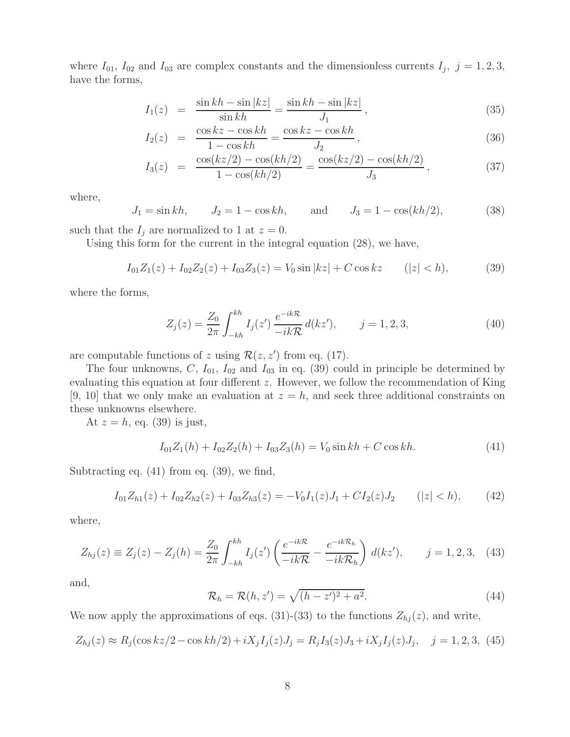where  $I_{01}$ ,  $I_{02}$  and  $I_{03}$  are complex constants and the dimensionless currents  $I_j$ ,  $j = 1, 2, 3$ , have the forms,

$$
I_1(z) = \frac{\sin kh - \sin\left(kz\right)}{\sin kh} = \frac{\sin kh - \sin\left(kz\right)}{J_1},\tag{35}
$$

$$
I_2(z) = \frac{\cos kz - \cos kh}{1 - \cos kh} = \frac{\cos kz - \cos kh}{J_2},
$$
\n(36)

$$
I_3(z) = \frac{\cos(kz/2) - \cos(kh/2)}{1 - \cos(kh/2)} = \frac{\cos(kz/2) - \cos(kh/2)}{J_3},
$$
\n(37)

where,

$$
J_1 = \sin kh
$$
,  $J_2 = 1 - \cos kh$ , and  $J_3 = 1 - \cos(kh/2)$ , (38)

such that the  $I_j$  are normalized to 1 at  $z = 0$ .

Using this form for the current in the integral equation (28), we have,

$$
I_{01}Z_1(z) + I_{02}Z_2(z) + I_{03}Z_3(z) = V_0 \sin |kz| + C \cos kz \qquad (|z| < h), \tag{39}
$$

where the forms,

$$
Z_j(z) = \frac{Z_0}{2\pi} \int_{-kh}^{kh} I_j(z') \frac{e^{-ik\mathcal{R}}}{-ik\mathcal{R}} d(kz'), \qquad j = 1, 2, 3,
$$
 (40)

are computable functions of z using  $\mathcal{R}(z, z')$  from eq. (17).

The four unknowns,  $C$ ,  $I_{01}$ ,  $I_{02}$  and  $I_{03}$  in eq. (39) could in principle be determined by evaluating this equation at four different z. However, we follow the recommendation of King [9, 10] that we only make an evaluation at  $z = h$ , and seek three additional constraints on these unknowns elsewhere.

At  $z = h$ , eq. (39) is just,

$$
I_{01}Z_1(h) + I_{02}Z_2(h) + I_{03}Z_3(h) = V_0 \sin kh + C \cos kh.
$$
 (41)

Subtracting eq. (41) from eq. (39), we find,

$$
I_{01}Z_{h1}(z) + I_{02}Z_{h2}(z) + I_{03}Z_{h3}(z) = -V_0I_1(z)J_1 + CI_2(z)J_2 \qquad (|z| < h), \tag{42}
$$

where,

$$
Z_{hj}(z) \equiv Z_j(z) - Z_j(h) = \frac{Z_0}{2\pi} \int_{-kh}^{kh} I_j(z') \left( \frac{e^{-ik\mathcal{R}}}{-ik\mathcal{R}} - \frac{e^{-ik\mathcal{R}_h}}{-ik\mathcal{R}_h} \right) d(kz'), \qquad j = 1, 2, 3, \quad (43)
$$

and,

$$
\mathcal{R}_h = \mathcal{R}(h, z') = \sqrt{(h - z')^2 + a^2}.
$$
\n(44)

We now apply the approximations of eqs. (31)-(33) to the functions  $Z_{hj}(z)$ , and write,

$$
Z_{hj}(z) \approx R_j(\cos kz/2 - \cos kh/2) + iX_j I_j(z)J_j = R_j I_3(z)J_3 + iX_j I_j(z)J_j, \quad j = 1, 2, 3, (45)
$$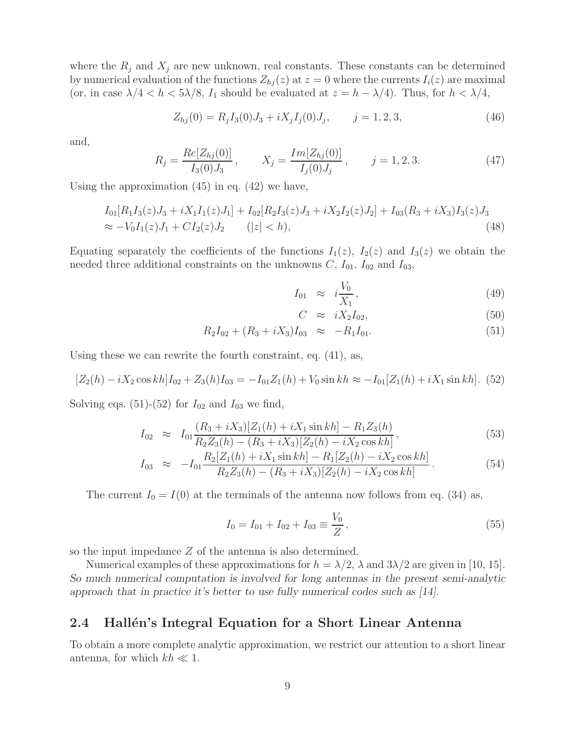where the  $R_j$  and  $X_j$  are new unknown, real constants. These constants can be determined by numerical evaluation of the functions  $Z_{hj}(z)$  at  $z = 0$  where the currents  $I_i(z)$  are maximal (or, in case  $\lambda/4 < h < 5\lambda/8$ ,  $I_1$  should be evaluated at  $z = h - \lambda/4$ ). Thus, for  $h < \lambda/4$ ,

$$
Z_{hj}(0) = R_j I_3(0) J_3 + iX_j I_j(0) J_j, \qquad j = 1, 2, 3,
$$
\n(46)

and,

$$
R_j = \frac{Re[Z_{hj}(0)]}{I_3(0)J_3}, \qquad X_j = \frac{Im[Z_{hj}(0)]}{I_j(0)J_j}, \qquad j = 1, 2, 3.
$$
 (47)

Using the approximation  $(45)$  in eq.  $(42)$  we have,

$$
I_{01}[R_1I_3(z)J_3 + iX_1I_1(z)J_1] + I_{02}[R_2I_3(z)J_3 + iX_2I_2(z)J_2] + I_{03}(R_3 + iX_3)I_3(z)J_3
$$
  
\n
$$
\approx -V_0I_1(z)J_1 + CI_2(z)J_2 \qquad (|z| < h),
$$
\n(48)

Equating separately the coefficients of the functions  $I_1(z)$ ,  $I_2(z)$  and  $I_3(z)$  we obtain the needed three additional constraints on the unknowns  $C, I_{01}, I_{02}$  and  $I_{03}$ ,

$$
I_{01} \approx i\frac{V_0}{X_1},\tag{49}
$$

$$
C \approx iX_2I_{02}, \tag{50}
$$

$$
R_2I_{02} + (R_3 + iX_3)I_{03} \approx -R_1I_{01}.
$$
\n(51)

Using these we can rewrite the fourth constraint, eq. (41), as,

$$
[Z_2(h) - iX_2 \cos kh]I_{02} + Z_3(h)I_{03} = -I_{01}Z_1(h) + V_0 \sin kh \approx -I_{01}[Z_1(h) + iX_1 \sin kh].
$$
 (52)

Solving eqs. (51)-(52) for  $I_{02}$  and  $I_{03}$  we find,

$$
I_{02} \approx I_{01} \frac{(R_3 + iX_3)[Z_1(h) + iX_1 \sin kh] - R_1 Z_3(h)}{R_2 Z_3(h) - (R_3 + iX_3)[Z_2(h) - iX_2 \cos kh]},
$$
\n
$$
(53)
$$

$$
I_{03} \approx -I_{01} \frac{R_2[Z_1(h) + iX_1 \sin kh] - R_1[Z_2(h) - iX_2 \cos kh]}{R_2 Z_3(h) - (R_3 + iX_3)[Z_2(h) - iX_2 \cos kh]}.
$$
\n(54)

The current  $I_0 = I(0)$  at the terminals of the antenna now follows from eq. (34) as,

$$
I_0 = I_{01} + I_{02} + I_{03} \equiv \frac{V_0}{Z},
$$
\n(55)

so the input impedance Z of the antenna is also determined.

Numerical examples of these approximations for  $h = \lambda/2$ ,  $\lambda$  and  $3\lambda/2$  are given in [10, 15]. *So much numerical computation is involved for long antennas in the present semi-analytic approach that in practice it's better to use fully numerical codes such as [14].*

#### 2.4 Hallén's Integral Equation for a Short Linear Antenna

To obtain a more complete analytic approximation, we restrict our attention to a short linear antenna, for which  $kh \ll 1$ .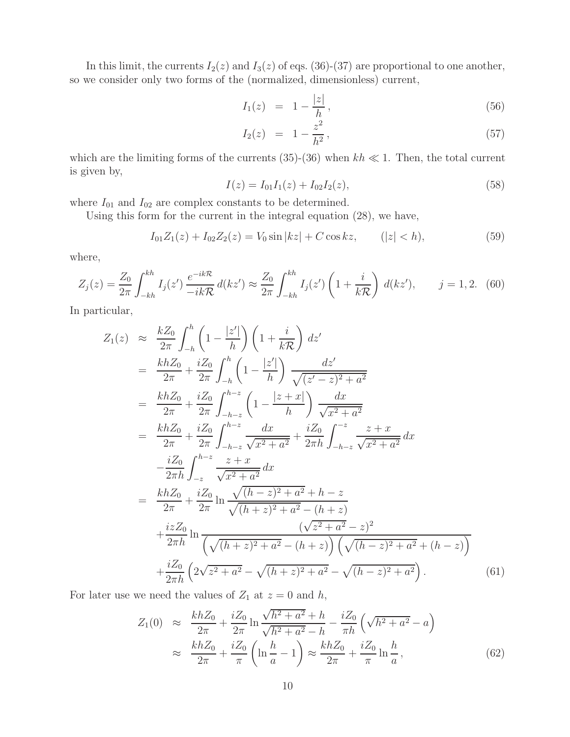In this limit, the currents  $I_2(z)$  and  $I_3(z)$  of eqs. (36)-(37) are proportional to one another, so we consider only two forms of the (normalized, dimensionless) current,

$$
I_1(z) = 1 - \frac{|z|}{h}, \tag{56}
$$

$$
I_2(z) = 1 - \frac{z^2}{h^2}, \tag{57}
$$

which are the limiting forms of the currents (35)-(36) when  $kh \ll 1$ . Then, the total current is given by,

$$
I(z) = I_{01}I_1(z) + I_{02}I_2(z),
$$
\n(58)

where  $I_{01}$  and  $I_{02}$  are complex constants to be determined.

Using this form for the current in the integral equation (28), we have,

$$
I_{01}Z_1(z) + I_{02}Z_2(z) = V_0 \sin |kz| + C \cos kz, \qquad (|z| < h), \tag{59}
$$

where,

$$
Z_j(z) = \frac{Z_0}{2\pi} \int_{-kh}^{kh} I_j(z') \frac{e^{-ik\mathcal{R}}}{-ik\mathcal{R}} d(kz') \approx \frac{Z_0}{2\pi} \int_{-kh}^{kh} I_j(z') \left(1 + \frac{i}{k\mathcal{R}}\right) d(kz'), \qquad j = 1, 2. \tag{60}
$$

In particular,

$$
Z_{1}(z) \approx \frac{kZ_{0}}{2\pi} \int_{-h}^{h} \left(1 - \frac{|z'|}{h}\right) \left(1 + \frac{i}{kR}\right) dz'
$$
  
\n
$$
= \frac{khZ_{0}}{2\pi} + \frac{iZ_{0}}{2\pi} \int_{-h}^{h} \left(1 - \frac{|z'|}{h}\right) \frac{dz'}{\sqrt{(z'-z)^{2}+a^{2}}}
$$
  
\n
$$
= \frac{khZ_{0}}{2\pi} + \frac{iZ_{0}}{2\pi} \int_{-h-z}^{h-z} \left(1 - \frac{|z+x|}{h}\right) \frac{dx}{\sqrt{x^{2}+a^{2}}}
$$
  
\n
$$
= \frac{khZ_{0}}{2\pi} + \frac{iZ_{0}}{2\pi} \int_{-h-z}^{h-z} \frac{dx}{\sqrt{x^{2}+a^{2}}} + \frac{iZ_{0}}{2\pi h} \int_{-h-z}^{-z} \frac{z+x}{\sqrt{x^{2}+a^{2}}} dx
$$
  
\n
$$
- \frac{iZ_{0}}{2\pi h} \int_{-z}^{h-z} \frac{z+x}{\sqrt{x^{2}+a^{2}}} dx
$$
  
\n
$$
= \frac{khZ_{0}}{2\pi} + \frac{iZ_{0}}{2\pi} \ln \frac{\sqrt{(h-z)^{2}+a^{2}}+h-z}{\sqrt{(h+z)^{2}+a^{2}}-(h+z)}
$$
  
\n
$$
+ \frac{i zZ_{0}}{2\pi h} \ln \frac{(\sqrt{z^{2}+a^{2}}-z)^{2}}{\left(\sqrt{(h+z)^{2}+a^{2}}-(h+z)\right) \left(\sqrt{(h-z)^{2}+a^{2}}+(h-z)\right)}
$$
  
\n
$$
+ \frac{iZ_{0}}{2\pi h} \left(2\sqrt{z^{2}+a^{2}}-\sqrt{(h+z)^{2}+a^{2}}-\sqrt{(h-z)^{2}+a^{2}}\right).
$$
  
\n(61)

For later use we need the values of  $Z_1$  at  $z = 0$  and h,

$$
Z_1(0) \approx \frac{khZ_0}{2\pi} + \frac{iZ_0}{2\pi} \ln \frac{\sqrt{h^2 + a^2} + h}{\sqrt{h^2 + a^2} - h} - \frac{iZ_0}{\pi h} \left( \sqrt{h^2 + a^2} - a \right)
$$
  

$$
\approx \frac{khZ_0}{2\pi} + \frac{iZ_0}{\pi} \left( \ln \frac{h}{a} - 1 \right) \approx \frac{khZ_0}{2\pi} + \frac{iZ_0}{\pi} \ln \frac{h}{a}, \tag{62}
$$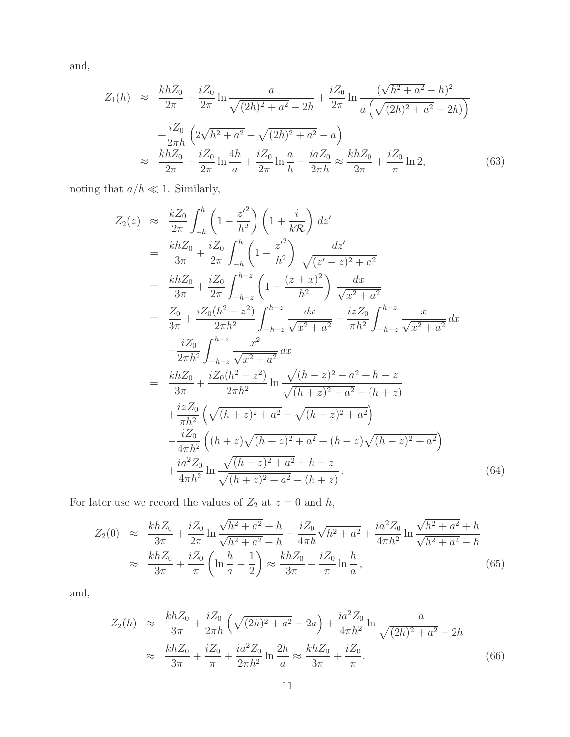and,

$$
Z_1(h) \approx \frac{khZ_0}{2\pi} + \frac{iZ_0}{2\pi} \ln \frac{a}{\sqrt{(2h)^2 + a^2} - 2h} + \frac{iZ_0}{2\pi} \ln \frac{(\sqrt{h^2 + a^2} - h)^2}{a\left(\sqrt{(2h)^2 + a^2} - 2h\right)}
$$

$$
+ \frac{iZ_0}{2\pi h} \left(2\sqrt{h^2 + a^2} - \sqrt{(2h)^2 + a^2} - a\right)
$$

$$
\approx \frac{khZ_0}{2\pi} + \frac{iZ_0}{2\pi} \ln \frac{4h}{a} + \frac{iZ_0}{2\pi} \ln \frac{a}{h} - \frac{iaZ_0}{2\pi h} \approx \frac{khZ_0}{2\pi} + \frac{iZ_0}{\pi} \ln 2,
$$
(63)

noting that  $a/h \ll 1.$  Similarly,

$$
Z_{2}(z) \approx \frac{kZ_{0}}{2\pi} \int_{-h}^{h} \left(1 - \frac{z'^{2}}{h^{2}}\right) \left(1 + \frac{i}{kR}\right) dz'
$$
  
\n
$$
= \frac{khZ_{0}}{3\pi} + \frac{iZ_{0}}{2\pi} \int_{-h}^{h} \left(1 - \frac{z'^{2}}{h^{2}}\right) \frac{dz'}{\sqrt{(z'-z)^{2}+a^{2}}}
$$
  
\n
$$
= \frac{khZ_{0}}{3\pi} + \frac{iZ_{0}}{2\pi} \int_{-h-z}^{h-z} \left(1 - \frac{(z+x)^{2}}{h^{2}}\right) \frac{dx}{\sqrt{x^{2}+a^{2}}}
$$
  
\n
$$
= \frac{Z_{0}}{3\pi} + \frac{iZ_{0}(h^{2}-z^{2})}{2\pi h^{2}} \int_{-h-z}^{h-z} \frac{dx}{\sqrt{x^{2}+a^{2}}} - \frac{izZ_{0}}{\pi h^{2}} \int_{-h-z}^{h-z} \frac{x}{\sqrt{x^{2}+a^{2}}} dx
$$
  
\n
$$
- \frac{iZ_{0}}{2\pi h^{2}} \int_{-h-z}^{h-z} \frac{x^{2}}{\sqrt{x^{2}+a^{2}}} dx
$$
  
\n
$$
= \frac{khZ_{0}}{3\pi} + \frac{iZ_{0}(h^{2}-z^{2})}{2\pi h^{2}} \ln \frac{\sqrt{(h-z)^{2}+a^{2}}+h-z}{\sqrt{(h+z)^{2}+a^{2}}-(h+z)}
$$
  
\n
$$
+ \frac{izZ_{0}}{\pi h^{2}} \left(\sqrt{(h+z)^{2}+a^{2}}-\sqrt{(h-z)^{2}+a^{2}}\right)
$$
  
\n
$$
- \frac{iZ_{0}}{4\pi h^{2}} \left((h+z)\sqrt{(h+z)^{2}+a^{2}}+(h-z)\sqrt{(h-z)^{2}+a^{2}}\right)
$$
  
\n
$$
+ \frac{ia^{2}Z_{0}}{4\pi h^{2}} \ln \frac{\sqrt{(h-z)^{2}+a^{2}}+h-z}{\sqrt{(h+z)^{2}+a^{2}}-(h+z)}.
$$
  
\n(64)

For later use we record the values of  $Z_2$  at  $z = 0$  and  $h$ ,

$$
Z_2(0) \approx \frac{khZ_0}{3\pi} + \frac{iZ_0}{2\pi} \ln \frac{\sqrt{h^2 + a^2} + h}{\sqrt{h^2 + a^2} - h} - \frac{iZ_0}{4\pi h} \sqrt{h^2 + a^2} + \frac{ia^2Z_0}{4\pi h^2} \ln \frac{\sqrt{h^2 + a^2} + h}{\sqrt{h^2 + a^2} - h}
$$
  

$$
\approx \frac{khZ_0}{3\pi} + \frac{iZ_0}{\pi} \left( \ln \frac{h}{a} - \frac{1}{2} \right) \approx \frac{khZ_0}{3\pi} + \frac{iZ_0}{\pi} \ln \frac{h}{a}, \tag{65}
$$

and,

$$
Z_2(h) \approx \frac{khZ_0}{3\pi} + \frac{iZ_0}{2\pi h} \left( \sqrt{(2h)^2 + a^2} - 2a \right) + \frac{ia^2 Z_0}{4\pi h^2} \ln \frac{a}{\sqrt{(2h)^2 + a^2} - 2h}
$$
  

$$
\approx \frac{khZ_0}{3\pi} + \frac{iZ_0}{\pi} + \frac{ia^2 Z_0}{2\pi h^2} \ln \frac{2h}{a} \approx \frac{khZ_0}{3\pi} + \frac{iZ_0}{\pi}.
$$
 (66)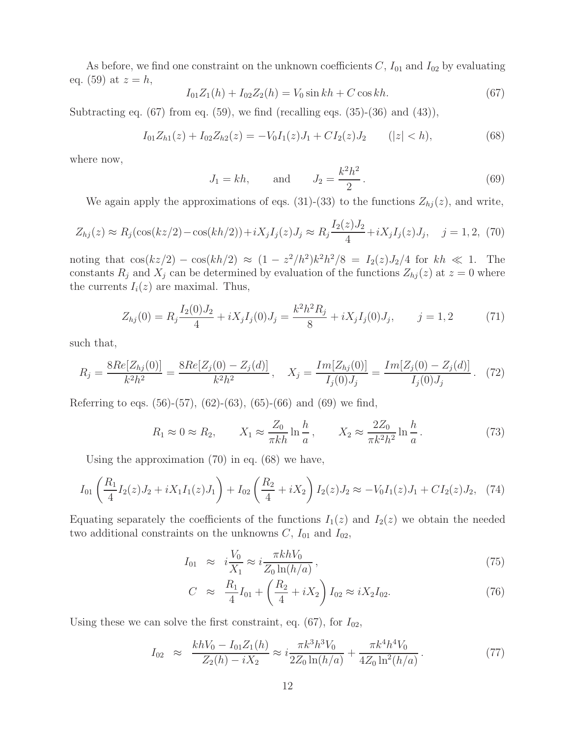As before, we find one constraint on the unknown coefficients  $C$ ,  $I_{01}$  and  $I_{02}$  by evaluating eq. (59) at  $z = h$ ,

$$
I_{01}Z_1(h) + I_{02}Z_2(h) = V_0 \sin kh + C \cos kh.
$$
 (67)

Subtracting eq.  $(67)$  from eq.  $(59)$ , we find (recalling eqs.  $(35)-(36)$  and  $(43)$ ),

$$
I_{01}Z_{h1}(z) + I_{02}Z_{h2}(z) = -V_0I_1(z)J_1 + CI_2(z)J_2 \qquad (|z| < h), \tag{68}
$$

where now,

$$
J_1 = kh
$$
, and  $J_2 = \frac{k^2 h^2}{2}$ . (69)

We again apply the approximations of eqs. (31)-(33) to the functions  $Z_{hj}(z)$ , and write,

$$
Z_{hj}(z) \approx R_j(\cos(kz/2) - \cos(kh/2)) + iX_jI_j(z)J_j \approx R_j\frac{I_2(z)J_2}{4} + iX_jI_j(z)J_j, \quad j = 1, 2, (70)
$$

noting that  $\cos(kz/2) - \cos(kh/2) \approx (1 - z^2/h^2)k^2h^2/8 = I_2(z)J_2/4$  for  $kh \ll 1$ . The constants  $R_j$  and  $X_j$  can be determined by evaluation of the functions  $Z_{hj}(z)$  at  $z = 0$  where the currents  $I_i(z)$  are maximal. Thus,

$$
Z_{hj}(0) = R_j \frac{I_2(0)J_2}{4} + iX_j I_j(0)J_j = \frac{k^2 h^2 R_j}{8} + iX_j I_j(0)J_j, \qquad j = 1, 2
$$
 (71)

such that,

$$
R_j = \frac{8Re[Z_{hj}(0)]}{k^2h^2} = \frac{8Re[Z_j(0) - Z_j(d)]}{k^2h^2}, \quad X_j = \frac{Im[Z_{hj}(0)]}{I_j(0)J_j} = \frac{Im[Z_j(0) - Z_j(d)]}{I_j(0)J_j}.
$$
 (72)

Referring to eqs. (56)-(57), (62)-(63), (65)-(66) and (69) we find,

$$
R_1 \approx 0 \approx R_2, \qquad X_1 \approx \frac{Z_0}{\pi k h} \ln \frac{h}{a}, \qquad X_2 \approx \frac{2Z_0}{\pi k^2 h^2} \ln \frac{h}{a}.
$$
 (73)

Using the approximation (70) in eq. (68) we have,

$$
I_{01}\left(\frac{R_1}{4}I_2(z)J_2+iX_1I_1(z)J_1\right)+I_{02}\left(\frac{R_2}{4}+iX_2\right)I_2(z)J_2\approx -V_0I_1(z)J_1+CI_2(z)J_2,\tag{74}
$$

Equating separately the coefficients of the functions  $I_1(z)$  and  $I_2(z)$  we obtain the needed two additional constraints on the unknowns  $C, I_{01}$  and  $I_{02}$ ,

$$
I_{01} \approx i\frac{V_0}{X_1} \approx i\frac{\pi khV_0}{Z_0\ln(h/a)},\tag{75}
$$

$$
C \approx \frac{R_1}{4} I_{01} + \left(\frac{R_2}{4} + iX_2\right) I_{02} \approx iX_2 I_{02}.
$$
 (76)

Using these we can solve the first constraint, eq.  $(67)$ , for  $I_{02}$ ,

$$
I_{02} \approx \frac{k h V_0 - I_{01} Z_1(h)}{Z_2(h) - iX_2} \approx i \frac{\pi k^3 h^3 V_0}{2Z_0 \ln(h/a)} + \frac{\pi k^4 h^4 V_0}{4Z_0 \ln^2(h/a)}.
$$
 (77)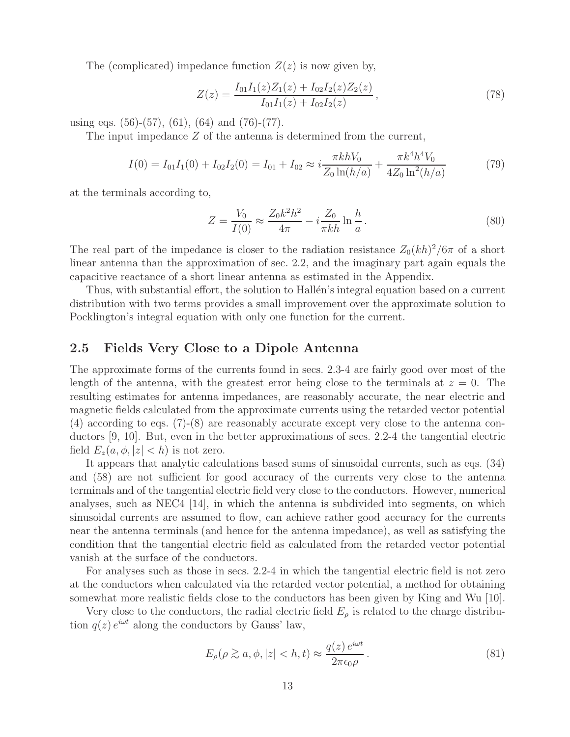The (complicated) impedance function  $Z(z)$  is now given by,

$$
Z(z) = \frac{I_{01}I_1(z)Z_1(z) + I_{02}I_2(z)Z_2(z)}{I_{01}I_1(z) + I_{02}I_2(z)},
$$
\n(78)

using eqs.  $(56)-(57)$ ,  $(61)$ ,  $(64)$  and  $(76)-(77)$ .

The input impedance Z of the antenna is determined from the current,

$$
I(0) = I_{01}I_1(0) + I_{02}I_2(0) = I_{01} + I_{02} \approx i\frac{\pi khV_0}{Z_0\ln(h/a)} + \frac{\pi k^4 h^4 V_0}{4Z_0\ln^2(h/a)}
$$
(79)

at the terminals according to,

$$
Z = \frac{V_0}{I(0)} \approx \frac{Z_0 k^2 h^2}{4\pi} - i \frac{Z_0}{\pi k h} \ln \frac{h}{a}.
$$
 (80)

The real part of the impedance is closer to the radiation resistance  $Z_0(kh)^2/6\pi$  of a short linear antenna than the approximation of sec. 2.2, and the imaginary part again equals the capacitive reactance of a short linear antenna as estimated in the Appendix.

Thus, with substantial effort, the solution to Hallén's integral equation based on a current distribution with two terms provides a small improvement over the approximate solution to Pocklington's integral equation with only one function for the current.

#### **2.5 Fields Very Close to a Dipole Antenna**

The approximate forms of the currents found in secs. 2.3-4 are fairly good over most of the length of the antenna, with the greatest error being close to the terminals at  $z = 0$ . The resulting estimates for antenna impedances, are reasonably accurate, the near electric and magnetic fields calculated from the approximate currents using the retarded vector potential (4) according to eqs. (7)-(8) are reasonably accurate except very close to the antenna conductors [9, 10]. But, even in the better approximations of secs. 2.2-4 the tangential electric field  $E_z(a, \phi, |z| < h)$  is not zero.

It appears that analytic calculations based sums of sinusoidal currents, such as eqs. (34) and (58) are not sufficient for good accuracy of the currents very close to the antenna terminals and of the tangential electric field very close to the conductors. However, numerical analyses, such as NEC4 [14], in which the antenna is subdivided into segments, on which sinusoidal currents are assumed to flow, can achieve rather good accuracy for the currents near the antenna terminals (and hence for the antenna impedance), as well as satisfying the condition that the tangential electric field as calculated from the retarded vector potential vanish at the surface of the conductors.

For analyses such as those in secs. 2.2-4 in which the tangential electric field is not zero at the conductors when calculated via the retarded vector potential, a method for obtaining somewhat more realistic fields close to the conductors has been given by King and Wu [10].

Very close to the conductors, the radial electric field  $E_{\rho}$  is related to the charge distribution  $q(z) e^{i\omega t}$  along the conductors by Gauss' law,

$$
E_{\rho}(\rho \gtrsim a, \phi, |z| < h, t) \approx \frac{q(z) e^{i\omega t}}{2\pi\epsilon_0 \rho} \,. \tag{81}
$$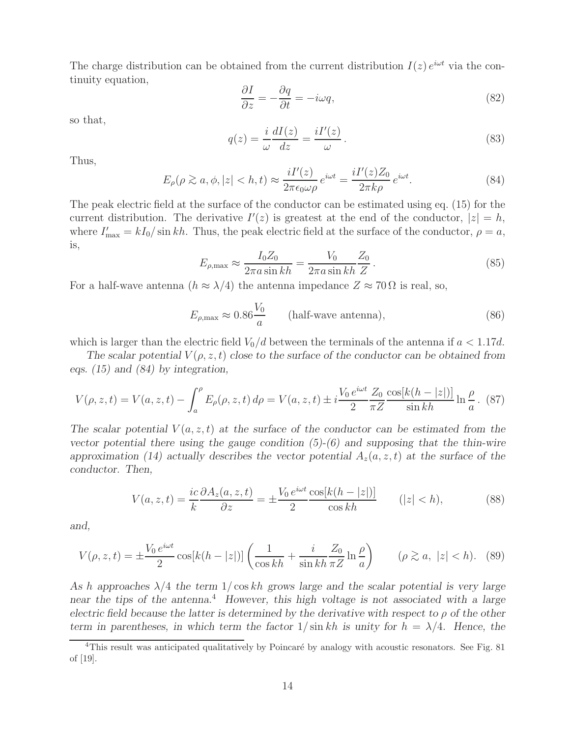The charge distribution can be obtained from the current distribution  $I(z) e^{i\omega t}$  via the continuity equation,

$$
\frac{\partial I}{\partial z} = -\frac{\partial q}{\partial t} = -i\omega q,\tag{82}
$$

so that,

$$
q(z) = \frac{i}{\omega} \frac{dI(z)}{dz} = \frac{iI'(z)}{\omega}.
$$
\n(83)

Thus,

$$
E_{\rho}(\rho \gtrsim a, \phi, |z| < h, t) \approx \frac{iI'(z)}{2\pi\epsilon_0\omega\rho} e^{i\omega t} = \frac{iI'(z)Z_0}{2\pi k\rho} e^{i\omega t}.\tag{84}
$$

The peak electric field at the surface of the conductor can be estimated using eq. (15) for the current distribution. The derivative  $I'(z)$  is greatest at the end of the conductor,  $|z| = h$ , where  $I'_{\text{max}} = kI_0/\sin kh$ . Thus, the peak electric field at the surface of the conductor,  $\rho = a$ , is,

$$
E_{\rho,\max} \approx \frac{I_0 Z_0}{2\pi a \sin kh} = \frac{V_0}{2\pi a \sin kh} \frac{Z_0}{Z}.
$$
\n
$$
(85)
$$

For a half-wave antenna  $(h \approx \lambda/4)$  the antenna impedance  $Z \approx 70 \Omega$  is real, so,

$$
E_{\rho,\text{max}} \approx 0.86 \frac{V_0}{a} \qquad \text{(half-wave antenna)},\tag{86}
$$

which is larger than the electric field  $V_0/d$  between the terminals of the antenna if  $a < 1.17d$ .

The scalar potential  $V(\rho, z, t)$  close to the surface of the conductor can be obtained from *eqs. (15) and (84) by integration,*

$$
V(\rho, z, t) = V(a, z, t) - \int_{a}^{\rho} E_{\rho}(\rho, z, t) d\rho = V(a, z, t) \pm i \frac{V_0 e^{i\omega t}}{2} \frac{Z_0}{\pi Z} \frac{\cos[k(h - |z|)]}{\sin kh} \ln \frac{\rho}{a}.
$$
 (87)

The scalar potential  $V(a, z, t)$  at the surface of the conductor can be estimated from the *vector potential there using the gauge condition (5)-(6) and supposing that the thin-wire approximation (14) actually describes the vector potential*  $A_z(a, z, t)$  *at the surface of the conductor. Then,*

$$
V(a,z,t) = \frac{ic}{k} \frac{\partial A_z(a,z,t)}{\partial z} = \pm \frac{V_0 e^{i\omega t}}{2} \frac{\cos[k(h-|z|)]}{\cos kh} \qquad (|z| < h),\tag{88}
$$

*and,*

$$
V(\rho, z, t) = \pm \frac{V_0 e^{i\omega t}}{2} \cos[k(h - |z|)] \left(\frac{1}{\cos kh} + \frac{i}{\sin kh} \frac{Z_0}{\pi Z} \ln \frac{\rho}{a}\right) \qquad (\rho \gtrsim a, |z| < h). \tag{89}
$$

As h approaches  $\lambda/4$  the term  $1/\cos kh$  grows large and the scalar potential is very large *near the tips of the antenna.*<sup>4</sup> *However, this high voltage is not associated with a large electric field because the latter is determined by the derivative with respect to* ρ *of the other term in parentheses, in which term the factor*  $1/\sin kh$  *is unity for*  $h = \lambda/4$ *. Hence, the* 

<sup>&</sup>lt;sup>4</sup>This result was anticipated qualitatively by Poincaré by analogy with acoustic resonators. See Fig. 81 of [19].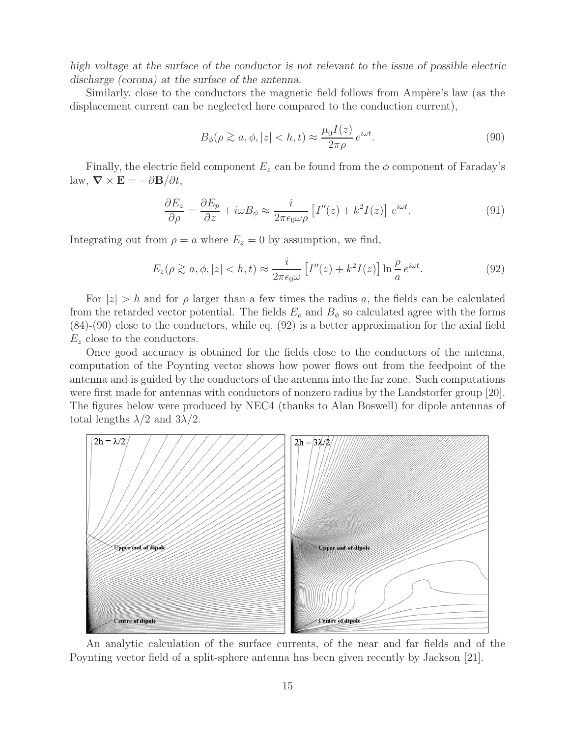*high voltage at the surface of the conductor is not relevant to the issue of possible electric discharge (corona) at the surface of the antenna.*

Similarly, close to the conductors the magnetic field follows from Ampère's law (as the displacement current can be neglected here compared to the conduction current),

$$
B_{\phi}(\rho \gtrsim a, \phi, |z| < h, t) \approx \frac{\mu_0 I(z)}{2\pi \rho} e^{i\omega t}.\tag{90}
$$

Finally, the electric field component  $E_z$  can be found from the  $\phi$  component of Faraday's law,  $\nabla \times \mathbf{E} = -\partial \mathbf{B}/\partial t$ ,

$$
\frac{\partial E_z}{\partial \rho} = \frac{\partial E_p}{\partial z} + i\omega B_\phi \approx \frac{i}{2\pi\epsilon_0\omega\rho} \left[ I''(z) + k^2 I(z) \right] e^{i\omega t}.
$$
 (91)

Integrating out from  $\rho = a$  where  $E_z = 0$  by assumption, we find,

$$
E_z(\rho \gtrsim a, \phi, |z| < h, t) \approx \frac{i}{2\pi\epsilon_0 \omega} \left[ I''(z) + k^2 I(z) \right] \ln\frac{\rho}{a} e^{i\omega t}.\tag{92}
$$

For  $|z| > h$  and for  $\rho$  larger than a few times the radius a, the fields can be calculated from the retarded vector potential. The fields  $E_{\rho}$  and  $B_{\phi}$  so calculated agree with the forms (84)-(90) close to the conductors, while eq. (92) is a better approximation for the axial field  $E_z$  close to the conductors.

Once good accuracy is obtained for the fields close to the conductors of the antenna, computation of the Poynting vector shows how power flows out from the feedpoint of the antenna and is guided by the conductors of the antenna into the far zone. Such computations were first made for antennas with conductors of nonzero radius by the Landstorfer group [20]. The figures below were produced by NEC4 (thanks to Alan Boswell) for dipole antennas of total lengths  $\lambda/2$  and  $3\lambda/2$ .



An analytic calculation of the surface currents, of the near and far fields and of the Poynting vector field of a split-sphere antenna has been given recently by Jackson [21].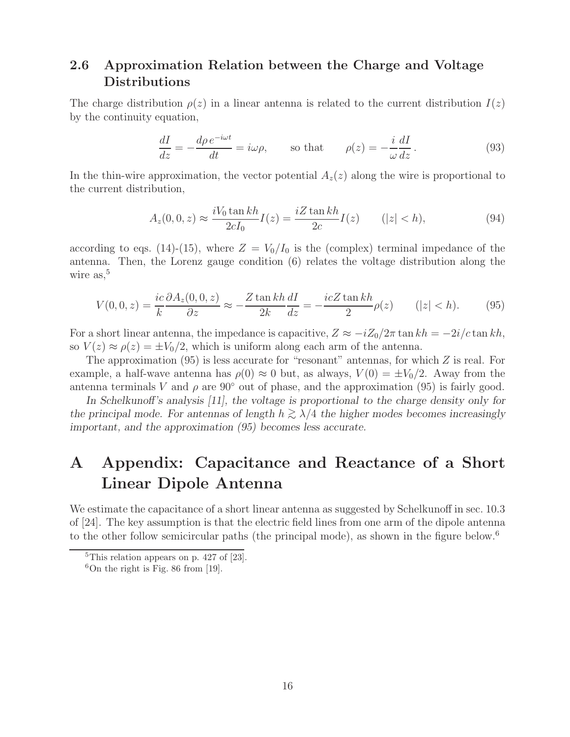## **2.6 Approximation Relation between the Charge and Voltage Distributions**

The charge distribution  $\rho(z)$  in a linear antenna is related to the current distribution  $I(z)$ by the continuity equation,

$$
\frac{dI}{dz} = -\frac{d\rho e^{-i\omega t}}{dt} = i\omega\rho, \qquad \text{so that} \qquad \rho(z) = -\frac{i}{\omega}\frac{dI}{dz}.
$$
\n(93)

In the thin-wire approximation, the vector potential  $A_z(z)$  along the wire is proportional to the current distribution,

$$
A_z(0,0,z) \approx \frac{iV_0 \tan kh}{2cI_0} I(z) = \frac{iZ \tan kh}{2c} I(z) \qquad (|z| < h),\tag{94}
$$

according to eqs. (14)-(15), where  $Z = V_0/I_0$  is the (complex) terminal impedance of the antenna. Then, the Lorenz gauge condition (6) relates the voltage distribution along the wire  $as, 5$ 

$$
V(0,0,z) = \frac{ic \,\partial A_z(0,0,z)}{k} \approx -\frac{Z \tan kh}{2k} \frac{dI}{dz} = -\frac{icZ \tan kh}{2} \rho(z) \qquad (|z| < h). \tag{95}
$$

For a short linear antenna, the impedance is capacitive,  $Z \approx -iZ_0/2\pi \tan kh = -2i/c \tan kh$ , so  $V(z) \approx \rho(z) = \pm V_0/2$ , which is uniform along each arm of the antenna.

The approximation (95) is less accurate for "resonant" antennas, for which Z is real. For example, a half-wave antenna has  $\rho(0) \approx 0$  but, as always,  $V(0) = \pm V_0/2$ . Away from the antenna terminals V and  $\rho$  are 90° out of phase, and the approximation (95) is fairly good.

*In Schelkunoff's analysis [11], the voltage is proportional to the charge density only for the principal mode. For antennas of length*  $h \gtrsim \lambda/4$  *the higher modes becomes increasingly important, and the approximation (95) becomes less accurate.*

# **A Appendix: Capacitance and Reactance of a Short Linear Dipole Antenna**

We estimate the capacitance of a short linear antenna as suggested by Schelkunoff in sec. 10.3 of [24]. The key assumption is that the electric field lines from one arm of the dipole antenna to the other follow semicircular paths (the principal mode), as shown in the figure below.<sup>6</sup>

 ${}^{5}$ This relation appears on p. 427 of [23].

 $6$ On the right is Fig. 86 from [19].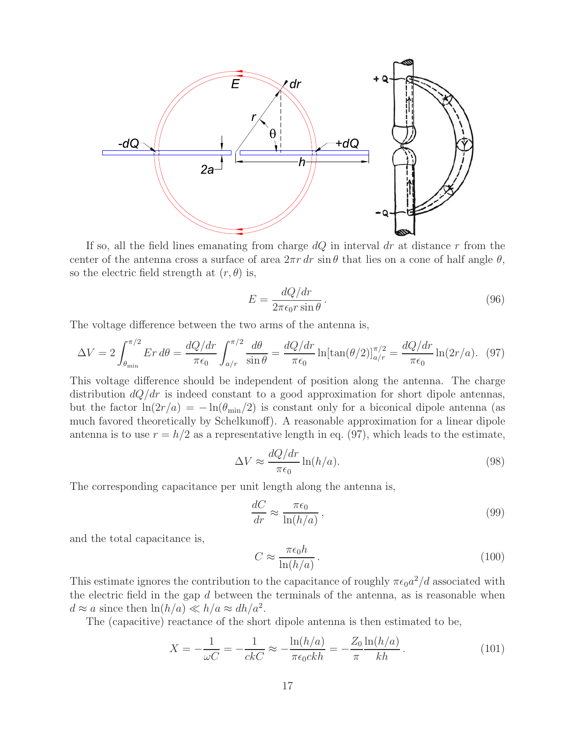

If so, all the field lines emanating from charge  $dQ$  in interval dr at distance r from the center of the antenna cross a surface of area  $2\pi r dr \sin \theta$  that lies on a cone of half angle  $\theta$ , so the electric field strength at  $(r, \theta)$  is,

$$
E = \frac{dQ/dr}{2\pi\epsilon_0 r \sin\theta}.
$$
\n(96)

The voltage difference between the two arms of the antenna is,

$$
\Delta V = 2 \int_{\theta_{\text{min}}}^{\pi/2} Er \, d\theta = \frac{dQ/dr}{\pi \epsilon_0} \int_{a/r}^{\pi/2} \frac{d\theta}{\sin \theta} = \frac{dQ/dr}{\pi \epsilon_0} \ln[\tan(\theta/2)]_{a/r}^{\pi/2} = \frac{dQ/dr}{\pi \epsilon_0} \ln(2r/a). \tag{97}
$$

This voltage difference should be independent of position along the antenna. The charge distribution  $dQ/dr$  is indeed constant to a good approximation for short dipole antennas, but the factor  $\ln(2r/a) = -\ln(\theta_{\min}/2)$  is constant only for a biconical dipole antenna (as much favored theoretically by Schelkunoff). A reasonable approximation for a linear dipole antenna is to use  $r = h/2$  as a representative length in eq. (97), which leads to the estimate,

$$
\Delta V \approx \frac{dQ/dr}{\pi \epsilon_0} \ln(h/a). \tag{98}
$$

The corresponding capacitance per unit length along the antenna is,

$$
\frac{dC}{dr} \approx \frac{\pi \epsilon_0}{\ln(h/a)},\tag{99}
$$

and the total capacitance is,

$$
C \approx \frac{\pi \epsilon_0 h}{\ln(h/a)}\,. \tag{100}
$$

This estimate ignores the contribution to the capacitance of roughly  $\pi \epsilon_0 a^2/d$  associated with the electric field in the gap  $d$  between the terminals of the antenna, as is reasonable when  $d \approx a$  since then  $\ln(h/a) \ll h/a \approx dh/a^2$ .

The (capacitive) reactance of the short dipole antenna is then estimated to be,

$$
X = -\frac{1}{\omega C} = -\frac{1}{ckC} \approx -\frac{\ln(h/a)}{\pi \epsilon_0 c k h} = -\frac{Z_0}{\pi} \frac{\ln(h/a)}{kh}.
$$
 (101)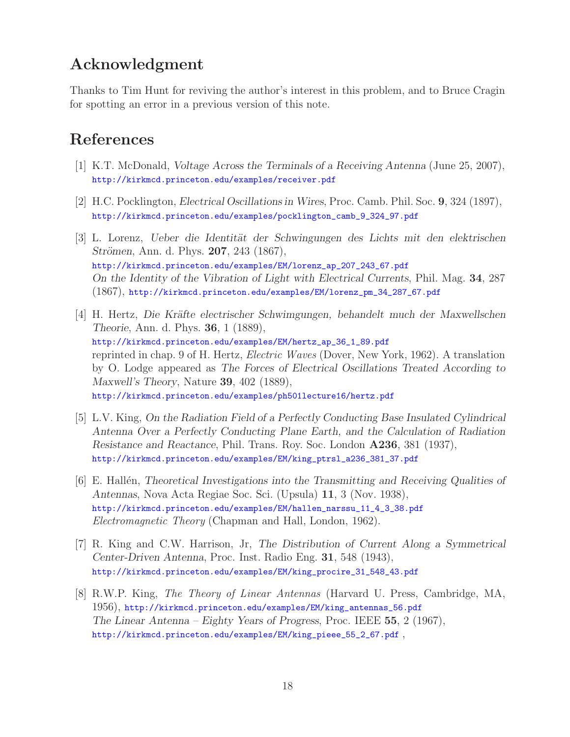## **Acknowledgment**

Thanks to Tim Hunt for reviving the author's interest in this problem, and to Bruce Cragin for spotting an error in a previous version of this note.

## **References**

- [1] K.T. McDonald, *Voltage Across the Terminals of a Receiving Antenna* (June 25, 2007), http://kirkmcd.princeton.edu/examples/receiver.pdf
- [2] H.C. Pocklington, *Electrical Oscillations in Wires*, Proc. Camb. Phil. Soc. **9**, 324 (1897), http://kirkmcd.princeton.edu/examples/pocklington\_camb\_9\_324\_97.pdf
- [3] L. Lorenz, *Ueber die Identit¨at der Schwingungen des Lichts mit den elektrischen Strömen, Ann. d. Phys. 207, 243 (1867),* http://kirkmcd.princeton.edu/examples/EM/lorenz\_ap\_207\_243\_67.pdf *On the Identity of the Vibration of Light with Electrical Currents*, Phil. Mag. **34**, 287 (1867), http://kirkmcd.princeton.edu/examples/EM/lorenz\_pm\_34\_287\_67.pdf
- [4] H. Hertz, *Die Kr¨afte electrischer Schwimgungen, behandelt much der Maxwellschen Theorie*, Ann. d. Phys. **36**, 1 (1889), http://kirkmcd.princeton.edu/examples/EM/hertz\_ap\_36\_1\_89.pdf reprinted in chap. 9 of H. Hertz, *Electric Waves* (Dover, New York, 1962). A translation by O. Lodge appeared as *The Forces of Electrical Oscillations Treated According to Maxwell's Theory*, Nature **39**, 402 (1889), http://kirkmcd.princeton.edu/examples/ph501lecture16/hertz.pdf
- [5] L.V. King, *On the Radiation Field of a Perfectly Conducting Base Insulated Cylindrical Antenna Over a Perfectly Conducting Plane Earth, and the Calculation of Radiation Resistance and Reactance*, Phil. Trans. Roy. Soc. London **A236**, 381 (1937), http://kirkmcd.princeton.edu/examples/EM/king\_ptrsl\_a236\_381\_37.pdf
- [6] E. Hall´en, *Theoretical Investigations into the Transmitting and Receiving Qualities of Antennas*, Nova Acta Regiae Soc. Sci. (Upsula) **11**, 3 (Nov. 1938), http://kirkmcd.princeton.edu/examples/EM/hallen\_narssu\_11\_4\_3\_38.pdf *Electromagnetic Theory* (Chapman and Hall, London, 1962).
- [7] R. King and C.W. Harrison, Jr, *The Distribution of Current Along a Symmetrical Center-Driven Antenna*, Proc. Inst. Radio Eng. **31**, 548 (1943), http://kirkmcd.princeton.edu/examples/EM/king\_procire\_31\_548\_43.pdf
- [8] R.W.P. King, *The Theory of Linear Antennas* (Harvard U. Press, Cambridge, MA, 1956), http://kirkmcd.princeton.edu/examples/EM/king\_antennas\_56.pdf *The Linear Antenna – Eighty Years of Progress*, Proc. IEEE **55**, 2 (1967), http://kirkmcd.princeton.edu/examples/EM/king\_pieee\_55\_2\_67.pdf ,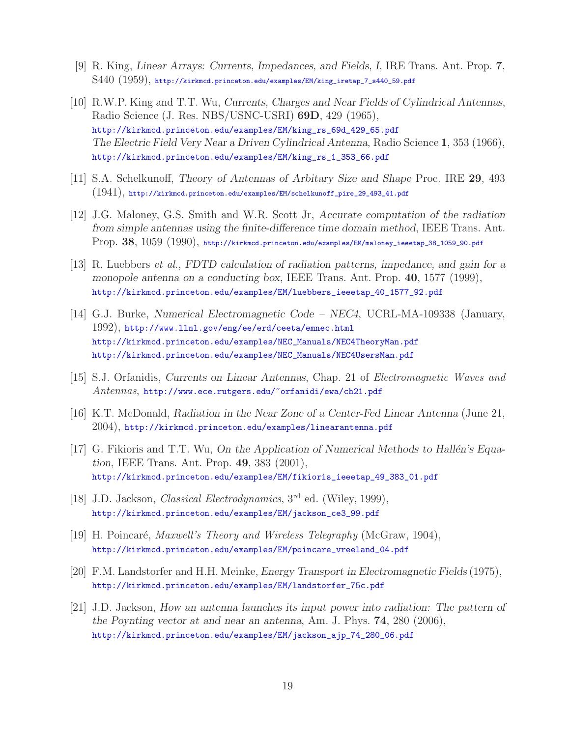- [9] R. King, *Linear Arrays: Currents, Impedances, and Fields, I*, IRE Trans. Ant. Prop. **7**, S440 (1959), http://kirkmcd.princeton.edu/examples/EM/king\_iretap\_7\_s440\_59.pdf
- [10] R.W.P. King and T.T. Wu, *Currents, Charges and Near Fields of Cylindrical Antennas*, Radio Science (J. Res. NBS/USNC-USRI) **69D**, 429 (1965), http://kirkmcd.princeton.edu/examples/EM/king\_rs\_69d\_429\_65.pdf *The Electric Field Very Near a Driven Cylindrical Antenna*, Radio Science **1**, 353 (1966), http://kirkmcd.princeton.edu/examples/EM/king\_rs\_1\_353\_66.pdf
- [11] S.A. Schelkunoff, *Theory of Antennas of Arbitary Size and Shape* Proc. IRE **29**, 493 (1941), http://kirkmcd.princeton.edu/examples/EM/schelkunoff\_pire\_29\_493\_41.pdf
- [12] J.G. Maloney, G.S. Smith and W.R. Scott Jr, *Accurate computation of the radiation from simple antennas using the finite-difference time domain method*, IEEE Trans. Ant. Prop. **38**, 1059 (1990), http://kirkmcd.princeton.edu/examples/EM/maloney\_ieeetap\_38\_1059\_90.pdf
- [13] R. Luebbers *et al.*, *FDTD calculation of radiation patterns, impedance, and gain for a monopole antenna on a conducting box*, IEEE Trans. Ant. Prop. **40**, 1577 (1999), http://kirkmcd.princeton.edu/examples/EM/luebbers\_ieeetap\_40\_1577\_92.pdf
- [14] G.J. Burke, *Numerical Electromagnetic Code NEC4*, UCRL-MA-109338 (January, 1992), http://www.llnl.gov/eng/ee/erd/ceeta/emnec.html http://kirkmcd.princeton.edu/examples/NEC\_Manuals/NEC4TheoryMan.pdf http://kirkmcd.princeton.edu/examples/NEC\_Manuals/NEC4UsersMan.pdf
- [15] S.J. Orfanidis, *Currents on Linear Antennas*, Chap. 21 of *Electromagnetic Waves and Antennas*, http://www.ece.rutgers.edu/~orfanidi/ewa/ch21.pdf
- [16] K.T. McDonald, *Radiation in the Near Zone of a Center-Fed Linear Antenna* (June 21, 2004), http://kirkmcd.princeton.edu/examples/linearantenna.pdf
- [17] G. Fikioris and T.T. Wu, *On the Application of Numerical Methods to Hallén's Equation*, IEEE Trans. Ant. Prop. **49**, 383 (2001), http://kirkmcd.princeton.edu/examples/EM/fikioris\_ieeetap\_49\_383\_01.pdf
- [18] J.D. Jackson, *Classical Electrodynamics*, 3rd ed. (Wiley, 1999), http://kirkmcd.princeton.edu/examples/EM/jackson\_ce3\_99.pdf
- [19] H. Poincar´e, *Maxwell's Theory and Wireless Telegraphy* (McGraw, 1904), http://kirkmcd.princeton.edu/examples/EM/poincare\_vreeland\_04.pdf
- [20] F.M. Landstorfer and H.H. Meinke, *Energy Transport in Electromagnetic Fields*(1975), http://kirkmcd.princeton.edu/examples/EM/landstorfer\_75c.pdf
- [21] J.D. Jackson, *How an antenna launches its input power into radiation: The pattern of the Poynting vector at and near an antenna*, Am. J. Phys. **74**, 280 (2006), http://kirkmcd.princeton.edu/examples/EM/jackson\_ajp\_74\_280\_06.pdf